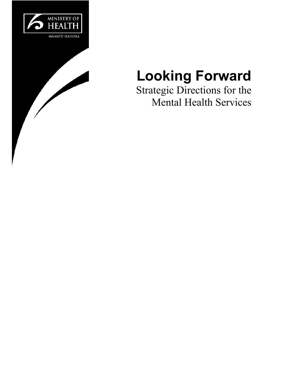

 $\overline{\phantom{a}}$ 

# **Looking Forward**

Strategic Directions for the Mental Health Services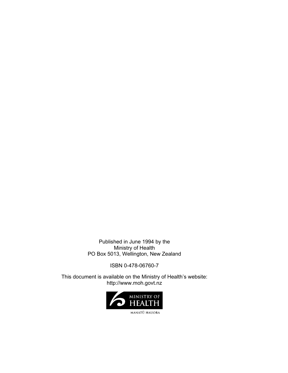Published in June 1994 by the Ministry of Health PO Box 5013, Wellington, New Zealand

ISBN 0-478-06760-7

This document is available on the Ministry of Health's website: http://www.moh.govt.nz

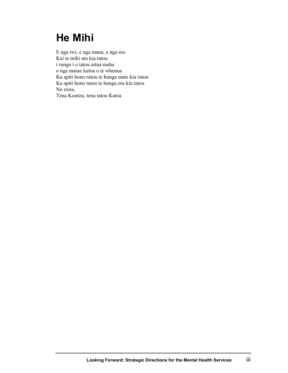## **He Mihi**

E nga iwi, e nga mana, e nga reo Kei te mihi atu kia tatou i runga i o tatou aitua maha o nga marae katoa o te whenua Ka apiti hono ratou te hunga mate kia ratou Ka apiti hono tatou te hunga ora kia tatou No reira, Tena Koutou, tena tatou Katoa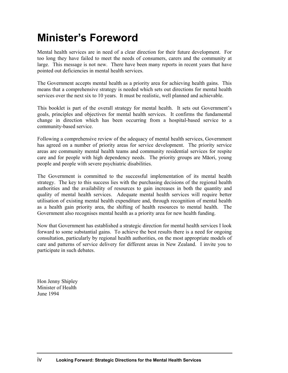## **Minister's Foreword**

Mental health services are in need of a clear direction for their future development. For too long they have failed to meet the needs of consumers, carers and the community at large. This message is not new. There have been many reports in recent years that have pointed out deficiencies in mental health services.

The Government accepts mental health as a priority area for achieving health gains. This means that a comprehensive strategy is needed which sets out directions for mental health services over the next six to 10 years. It must be realistic, well planned and achievable.

This booklet is part of the overall strategy for mental health. It sets out Government's goals, principles and objectives for mental health services. It confirms the fundamental change in direction which has been occurring from a hospital-based service to a community-based service.

Following a comprehensive review of the adequacy of mental health services, Government has agreed on a number of priority areas for service development. The priority service areas are community mental health teams and community residential services for respite care and for people with high dependency needs. The priority groups are Mäori, young people and people with severe psychiatric disabilities.

The Government is committed to the successful implementation of its mental health strategy. The key to this success lies with the purchasing decisions of the regional health authorities and the availability of resources to gain increases in both the quantity and quality of mental health services. Adequate mental health services will require better utilisation of existing mental health expenditure and, through recognition of mental health as a health gain priority area, the shifting of health resources to mental health. The Government also recognises mental health as a priority area for new health funding.

Now that Government has established a strategic direction for mental health services I look forward to some substantial gains. To achieve the best results there is a need for ongoing consultation, particularly by regional health authorities, on the most appropriate models of care and patterns of service delivery for different areas in New Zealand. I invite you to participate in such debates.

Hon Jenny Shipley Minister of Health June 1994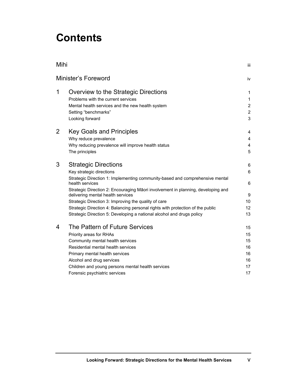## **Contents**

| Mihi                |                                                                                                                       | iii.                    |
|---------------------|-----------------------------------------------------------------------------------------------------------------------|-------------------------|
| Minister's Foreword |                                                                                                                       | iv                      |
| 1                   | Overview to the Strategic Directions                                                                                  | 1                       |
|                     | Problems with the current services                                                                                    | $\mathbf{1}$            |
|                     | Mental health services and the new health system                                                                      | $\overline{c}$          |
|                     | Setting "benchmarks"                                                                                                  | $\overline{2}$          |
|                     | Looking forward                                                                                                       | 3                       |
| 2                   | <b>Key Goals and Principles</b>                                                                                       | 4                       |
|                     | Why reduce prevalence                                                                                                 | 4                       |
|                     | Why reducing prevalence will improve health status                                                                    | $\overline{\mathbf{4}}$ |
|                     | The principles                                                                                                        | 5                       |
| 3                   | <b>Strategic Directions</b>                                                                                           | 6                       |
|                     | Key strategic directions                                                                                              | 6                       |
|                     | Strategic Direction 1: Implementing community-based and comprehensive mental<br>health services                       | 6                       |
|                     | Strategic Direction 2: Encouraging Māori involvement in planning, developing and<br>delivering mental health services | 9                       |
|                     | Strategic Direction 3: Improving the quality of care                                                                  | 10                      |
|                     | Strategic Direction 4: Balancing personal rights with protection of the public                                        | 12                      |
|                     | Strategic Direction 5: Developing a national alcohol and drugs policy                                                 | 13                      |
| 4                   | The Pattern of Future Services                                                                                        | 15                      |
|                     | Priority areas for RHAs                                                                                               | 15                      |
|                     | Community mental health services                                                                                      | 15                      |
|                     | Residential mental health services                                                                                    | 16                      |
|                     | Primary mental health services                                                                                        | 16                      |
|                     | Alcohol and drug services                                                                                             | 16                      |
|                     | Children and young persons mental health services                                                                     | 17                      |
|                     | Forensic psychiatric services                                                                                         | 17                      |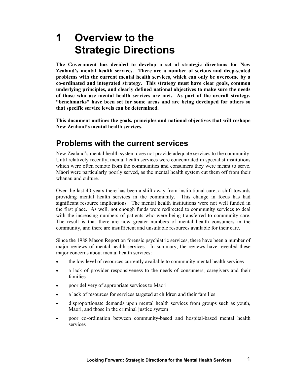## **1 Overview to the Strategic Directions**

**The Government has decided to develop a set of strategic directions for New Zealand's mental health services. There are a number of serious and deep-seated problems with the current mental health services, which can only be overcome by a co-ordinated and integrated strategy. This strategy must have clear goals, common underlying principles, and clearly defined national objectives to make sure the needs of those who use mental health services are met. As part of the overall strategy, "benchmarks" have been set for some areas and are being developed for others so that specific service levels can be determined.** 

**This document outlines the goals, principles and national objectives that will reshape New Zealand's mental health services.** 

### **Problems with the current services**

New Zealand's mental health system does not provide adequate services to the community. Until relatively recently, mental health services were concentrated in specialist institutions which were often remote from the communities and consumers they were meant to serve. Mäori were particularly poorly served, as the mental health system cut them off from their whänau and culture.

Over the last 40 years there has been a shift away from institutional care, a shift towards providing mental health services in the community. This change in focus has had significant resource implications. The mental health institutions were not well funded in the first place. As well, not enough funds were redirected to community services to deal with the increasing numbers of patients who were being transferred to community care. The result is that there are now greater numbers of mental health consumers in the community, and there are insufficient and unsuitable resources available for their care.

Since the 1988 Mason Report on forensic psychiatric services, there have been a number of major reviews of mental health services. In summary, the reviews have revealed these major concerns about mental health services:

- the low level of resources currently available to community mental health services
- a lack of provider responsiveness to the needs of consumers, caregivers and their families
- poor delivery of appropriate services to Mäori
- a lack of resources for services targeted at children and their families
- disproportionate demands upon mental health services from groups such as youth, Mäori, and those in the criminal justice system
- poor co-ordination between community-based and hospital-based mental health services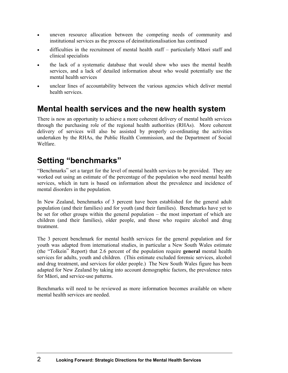- uneven resource allocation between the competing needs of community and institutional services as the process of deinstitutionalisation has continued
- difficulties in the recruitment of mental health staff particularly Māori staff and clinical specialists
- the lack of a systematic database that would show who uses the mental health services, and a lack of detailed information about who would potentially use the mental health services
- unclear lines of accountability between the various agencies which deliver mental health services.

### **Mental health services and the new health system**

There is now an opportunity to achieve a more coherent delivery of mental health services through the purchasing role of the regional health authorities (RHAs). More coherent delivery of services will also be assisted by properly co-ordinating the activities undertaken by the RHAs, the Public Health Commission, and the Department of Social Welfare.

### **Setting "benchmarks"**

"Benchmarks" set a target for the level of mental health services to be provided. They are worked out using an estimate of the percentage of the population who need mental health services, which in turn is based on information about the prevalence and incidence of mental disorders in the population.

In New Zealand, benchmarks of 3 percent have been established for the general adult population (and their families) and for youth (and their families). Benchmarks have yet to be set for other groups within the general population – the most important of which are children (and their families), older people, and those who require alcohol and drug treatment.

The 3 percent benchmark for mental health services for the general population and for youth was adapted from international studies, in particular a New South Wales estimate (the "Tolkein" Report) that 2.6 percent of the population require **general** mental health services for adults, youth and children. (This estimate excluded forensic services, alcohol and drug treatment, and services for older people.) The New South Wales figure has been adapted for New Zealand by taking into account demographic factors, the prevalence rates for Mäori, and service-use patterns.

Benchmarks will need to be reviewed as more information becomes available on where mental health services are needed.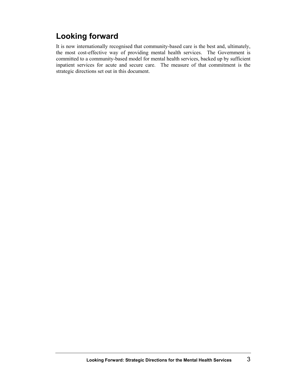### **Looking forward**

It is now internationally recognised that community-based care is the best and, ultimately, the most cost-effective way of providing mental health services. The Government is committed to a community-based model for mental health services, backed up by sufficient inpatient services for acute and secure care. The measure of that commitment is the strategic directions set out in this document.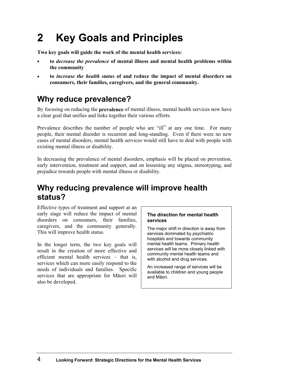## **2 Key Goals and Principles**

**Two key goals will guide the work of the mental health services:** 

- **to** *decrease the prevalence* **of mental illness and mental health problems within the community**
- **to** *increase the health status* **of and reduce the impact of mental disorders on consumers, their families, caregivers, and the general community.**

### **Why reduce prevalence?**

By focusing on reducing the **prevalence** of mental illness, mental health services now have a clear goal that unifies and links together their various efforts.

Prevalence describes the number of people who are "ill" at any one time. For many people, their mental disorder is recurrent and long-standing. Even if there were no new cases of mental disorders, mental health services would still have to deal with people with existing mental illness or disability.

In decreasing the prevalence of mental disorders, emphasis will be placed on prevention, early intervention, treatment and support, and on lessening any stigma, stereotyping, and prejudice towards people with mental illness or disability.

### **Why reducing prevalence will improve health status?**

Effective types of treatment and support at an early stage will reduce the impact of mental disorders on consumers, their families, caregivers, and the community generally. This will improve health status.

In the longer term, the two key goals will result in the creation of more effective and efficient mental health services – that is, services which can more easily respond to the needs of individuals and families. Specific services that are appropriate for Mäori will also be developed.

#### **The direction for mental health services**

The major shift in direction is away from services dominated by psychiatric hospitals and towards community mental health teams. Primary health services will be more closely linked with community mental health teams and with alcohol and drug services.

An increased range of services will be available to children and young people and Mäori.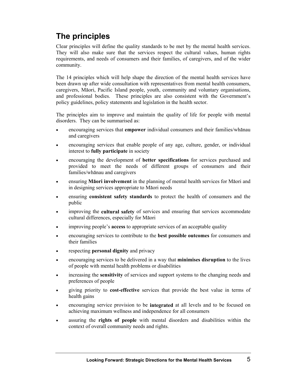### **The principles**

Clear principles will define the quality standards to be met by the mental health services. They will also make sure that the services respect the cultural values, human rights requirements, and needs of consumers and their families, of caregivers, and of the wider community.

The 14 principles which will help shape the direction of the mental health services have been drawn up after wide consultation with representatives from mental health consumers, caregivers, Mäori, Pacific Island people, youth, community and voluntary organisations, and professional bodies. These principles are also consistent with the Government's policy guidelines, policy statements and legislation in the health sector.

The principles aim to improve and maintain the quality of life for people with mental disorders. They can be summarised as:

- encouraging services that **empower** individual consumers and their families/whänau and caregivers
- encouraging services that enable people of any age, culture, gender, or individual interest to **fully participate** in society
- encouraging the development of **better specifications** for services purchased and provided to meet the needs of different groups of consumers and their families/whänau and caregivers
- ensuring **Mäori involvement** in the planning of mental health services for Mäori and in designing services appropriate to Mäori needs
- ensuring **consistent safety standards** to protect the health of consumers and the public
- improving the **cultural safety** of services and ensuring that services accommodate cultural differences, especially for Mäori
- improving people's **access** to appropriate services of an acceptable quality
- encouraging services to contribute to the **best possible outcomes** for consumers and their families
- respecting **personal dignity** and privacy
- encouraging services to be delivered in a way that **minimises disruption** to the lives of people with mental health problems or disabilities
- increasing the **sensitivity** of services and support systems to the changing needs and preferences of people
- giving priority to **cost-effective** services that provide the best value in terms of health gains
- encouraging service provision to be **integrated** at all levels and to be focused on achieving maximum wellness and independence for all consumers
- assuring the **rights of people** with mental disorders and disabilities within the context of overall community needs and rights.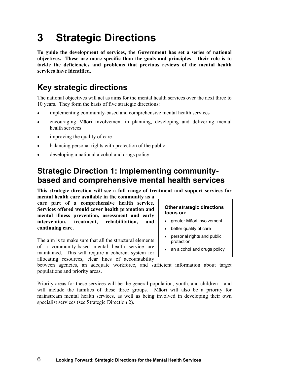## **3 Strategic Directions**

**To guide the development of services, the Government has set a series of national objectives. These are more specific than the goals and principles – their role is to tackle the deficiencies and problems that previous reviews of the mental health services have identified.** 

### **Key strategic directions**

The national objectives will act as aims for the mental health services over the next three to 10 years. They form the basis of five strategic directions:

- implementing community-based and comprehensive mental health services
- encouraging Mäori involvement in planning, developing and delivering mental health services
- improving the quality of care.
- balancing personal rights with protection of the public
- developing a national alcohol and drugs policy.

### **Strategic Direction 1: Implementing communitybased and comprehensive mental health services**

**This strategic direction will see a full range of treatment and support services for** 

**mental health care available in the community as a core part of a comprehensive health service. Services offered would cover health promotion and mental illness prevention, assessment and early intervention, treatment, rehabilitation, and continuing care.** 

The aim is to make sure that all the structural elements of a community-based mental health service are maintained. This will require a coherent system for allocating resources, clear lines of accountability

#### **Other strategic directions focus on:**

- greater Mäori involvement
- better quality of care
- personal rights and public protection
- an alcohol and drugs policy

between agencies, an adequate workforce, and sufficient information about target populations and priority areas.

Priority areas for these services will be the general population, youth, and children – and will include the families of these three groups. Mäori will also be a priority for mainstream mental health services, as well as being involved in developing their own specialist services (see Strategic Direction 2).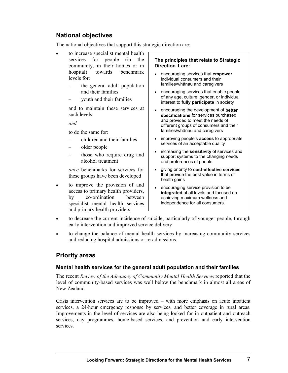### **National objectives**

The national objectives that support this strategic direction are:

- to increase specialist mental health services for people (in the community, in their homes or in hospital) towards benchmark levels for:
	- the general adult population and their families
	- youth and their families

and to maintain these services at such levels;

*and*

to do the same for:

- children and their families
- older people
- those who require drug and alcohol treatment

*once* benchmarks for services for these groups have been developed

to improve the provision of and access to primary health providers, by co-ordination between specialist mental health services and primary health providers

#### **The principles that relate to Strategic Direction 1 are:**

- encouraging services that **empower** individual consumers and their families/whänau and caregivers
- encouraging services that enable people of any age, culture, gender, or individual interest to **fully participate** in society
- encouraging the development of **better specifications** for services purchased and provided to meet the needs of different groups of consumers and their families/whänau and caregivers
- improving people's **access** to appropriate services of an acceptable quality
- increasing the **sensitivity** of services and support systems to the changing needs and preferences of people
- giving priority to **cost-effective services** that provide the best value in terms of health gains
- encouraging service provision to be **integrated** at all levels and focused on achieving maximum wellness and independence for all consumers.
- to decrease the current incidence of suicide, particularly of younger people, through early intervention and improved service delivery
- to change the balance of mental health services by increasing community services and reducing hospital admissions or re-admissions.

### **Priority areas**

#### **Mental health services for the general adult population and their families**

The recent *Review of the Adequacy of Community Mental Health Services* reported that the level of community-based services was well below the benchmark in almost all areas of New Zealand.

Crisis intervention services are to be improved – with more emphasis on acute inpatient services, a 24-hour emergency response by services, and better coverage in rural areas. Improvements in the level of services are also being looked for in outpatient and outreach services, day programmes, home-based services, and prevention and early intervention services.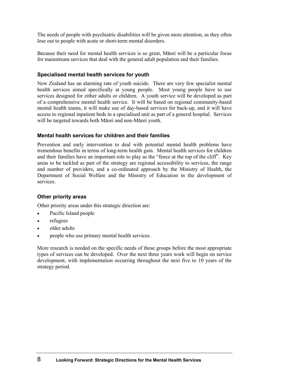The needs of people with psychiatric disabilities will be given more attention, as they often lose out to people with acute or short-term mental disorders.

Because their need for mental health services is so great, Mäori will be a particular focus for mainstream services that deal with the general adult population and their families.

#### **Specialised mental health services for youth**

New Zealand has an alarming rate of youth suicide. There are very few specialist mental health services aimed specifically at young people. Most young people have to use services designed for either adults or children. A youth service will be developed as part of a comprehensive mental health service. It will be based on regional community-based mental health teams, it will make use of day-based services for back-up, and it will have access to regional inpatient beds in a specialised unit as part of a general hospital. Services will be targeted towards both Mäori and non-Mäori youth.

#### **Mental health services for children and their families**

Prevention and early intervention to deal with potential mental health problems have tremendous benefits in terms of long-term health gain. Mental health services for children and their families have an important role to play as the "fence at the top of the cliff". Key areas to be tackled as part of the strategy are regional accessibility to services, the range and number of providers, and a co-ordinated approach by the Ministry of Health, the Department of Social Welfare and the Ministry of Education in the development of services.

#### **Other priority areas**

Other priority areas under this strategic direction are:

- Pacific Island people
- refugees
- older adults
- people who use primary mental health services.

More research is needed on the specific needs of these groups before the most appropriate types of services can be developed. Over the next three years work will begin on service development, with implementation occurring throughout the next five to 10 years of the strategy period.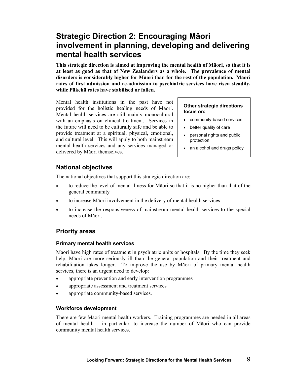### **Strategic Direction 2: Encouraging Mäori involvement in planning, developing and delivering mental health services**

**This strategic direction is aimed at improving the mental health of Mäori, so that it is at least as good as that of New Zealanders as a whole. The prevalence of mental disorders is considerably higher for Mäori than for the rest of the population. Mäori rates of first admission and re-admission to psychiatric services have risen steadily, while Päkehä rates have stabilised or fallen.** 

Mental health institutions in the past have not provided for the holistic healing needs of Mäori. Mental health services are still mainly monocultural with an emphasis on clinical treatment. Services in the future will need to be culturally safe and be able to provide treatment at a spiritual, physical, emotional, and cultural level. This will apply to both mainstream mental health services and any services managed or delivered by Mäori themselves.

#### **Other strategic directions focus on:**

- community-based services
- better quality of care
- personal rights and public protection
- an alcohol and drugs policy

### **National objectives**

The national objectives that support this strategic direction are:

- to reduce the level of mental illness for Mäori so that it is no higher than that of the general community
- to increase Mäori involvement in the delivery of mental health services
- to increase the responsiveness of mainstream mental health services to the special needs of Mäori.

### **Priority areas**

### **Primary mental health services**

Mäori have high rates of treatment in psychiatric units or hospitals. By the time they seek help, Mäori are more seriously ill than the general population and their treatment and rehabilitation takes longer. To improve the use by Mäori of primary mental health services, there is an urgent need to develop:

- appropriate prevention and early intervention programmes
- appropriate assessment and treatment services
- appropriate community-based services.

### **Workforce development**

There are few Mäori mental health workers. Training programmes are needed in all areas of mental health – in particular, to increase the number of Mäori who can provide community mental health services.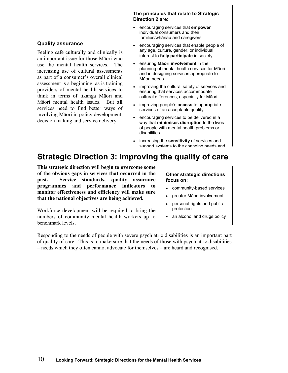#### **Quality assurance**

Feeling safe culturally and clinically is an important issue for those Mäori who use the mental health services. The increasing use of cultural assessments as part of a consumer's overall clinical assessment is a beginning, as is training providers of mental health services to think in terms of tikanga Mäori and Mäori mental health issues. But **all** services need to find better ways of involving Mäori in policy development, decision making and service delivery.

#### **The principles that relate to Strategic Direction 2 are:**

- encouraging services that **empower** individual consumers and their families/whänau and caregivers
- encouraging services that enable people of any age, culture, gender, or individual interest to **fully participate** in society
- ensuring **Mäori involvement** in the planning of mental health services for Mäori and in designing services appropriate to Mäori needs
- improving the cultural safety of services and ensuring that services accommodate cultural differences, especially for Mäori
- improving people's **access** to appropriate services of an acceptable quality
- encouraging services to be delivered in a way that **minimises disruption** to the lives of people with mental health problems or disabilities
- increasing the **sensitivity** of services and support systems to the changing needs and

### **Strategic Direction 3: Improving the quality of care**

**This strategic direction will begin to overcome some of the obvious gaps in services that occurred in the past. Service standards, quality assurance programmes and performance indicators to monitor effectiveness and efficiency will make sure that the national objectives are being achieved.** 

Workforce development will be required to bring the numbers of community mental health workers up to benchmark levels.

#### **Other strategic directions focus on:**

- community-based services
- greater Mäori involvement
- personal rights and public protection
- an alcohol and drugs policy

Responding to the needs of people with severe psychiatric disabilities is an important part of quality of care. This is to make sure that the needs of those with psychiatric disabilities – needs which they often cannot advocate for themselves – are heard and recognised.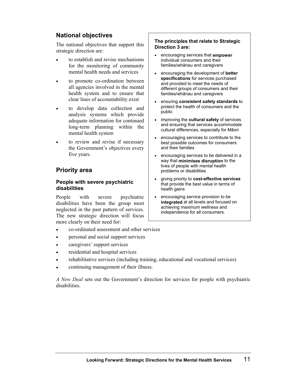### **National objectives**

The national objectives that support this strategic direction are:

- to establish and revise mechanisms for the monitoring of community mental health needs and services
- to promote co-ordination between all agencies involved in the mental health system and to ensure that clear lines of accountability exist
- to develop data collection and analysis systems which provide adequate information for continued long-term planning within the mental health system
- to review and revise if necessary the Government's objectives every five years.

### **Priority area**

#### **People with severe psychiatric disabilities**

People with severe psychiatric disabilities have been the group most neglected in the past pattern of services. The new strategic direction will focus more clearly on their need for:

#### **The principles that relate to Strategic Direction 3 are:**

- encouraging services that **empower** individual consumers and their families/whänau and caregivers
- encouraging the development of **better specifications** for services purchased and provided to meet the needs of different groups of consumers and their families/whänau and caregivers
- ensuring **consistent safety standards** to protect the health of consumers and the public
- improving the **cultural safety** of services and ensuring that services accommodate cultural differences, especially for Mäori
- encouraging services to contribute to the best possible outcomes for consumers and their families
- encouraging services to be delivered in a way that **minimises disruption** to the lives of people with mental health problems or disabilities
- giving priority to **cost-effective services** that provide the best value in terms of health gains
- encouraging service provision to be **integrated** at all levels and focused on achieving maximum wellness and independence for all consumers.
- co-ordinated assessment and other services
- personal and social support services
- caregivers' support services
- residential and hospital services
- rehabilitative services (including training, educational and vocational services)
- continuing management of their illness.

*A New Deal* sets out the Government's direction for services for people with psychiatric disabilities.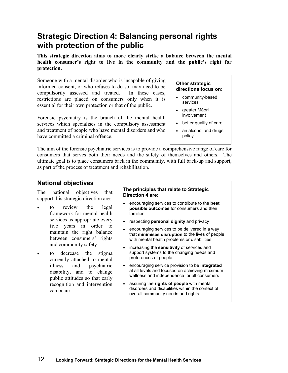### **Strategic Direction 4: Balancing personal rights with protection of the public**

**This strategic direction aims to more clearly strike a balance between the mental health consumer's right to live in the community and the public's right for protection.** 

Someone with a mental disorder who is incapable of giving informed consent, or who refuses to do so, may need to be compulsorily assessed and treated. In these cases, restrictions are placed on consumers only when it is essential for their own protection or that of the public.

Forensic psychiatry is the branch of the mental health services which specialises in the compulsory assessment and treatment of people who have mental disorders and who have committed a criminal offence.

#### **Other strategic directions focus on:**

- community-based services
- greater Mäori involvement
- better quality of care
- an alcohol and drugs policy

The aim of the forensic psychiatric services is to provide a comprehensive range of care for consumers that serves both their needs and the safety of themselves and others. The ultimate goal is to place consumers back in the community, with full back-up and support, as part of the process of treatment and rehabilitation.

### **National objectives**

The national objectives that support this strategic direction are:

- to review the legal framework for mental health services as appropriate every five years in order to maintain the right balance between consumers' rights and community safety
- to decrease the stigma currently attached to mental illness and psychiatric disability, and to change public attitudes so that early recognition and intervention can occur.

#### **The principles that relate to Strategic Direction 4 are:**

- encouraging services to contribute to the **best possible outcomes** for consumers and their families
- respecting **personal dignity** and privacy
- encouraging services to be delivered in a way that **minimises disruption** to the lives of people with mental health problems or disabilities
- increasing the **sensitivity** of services and support systems to the changing needs and preferences of people
- encouraging service provision to be **integrated** at all levels and focused on achieving maximum wellness and independence for all consumers
- assuring the **rights of people** with mental disorders and disabilities within the context of overall community needs and rights.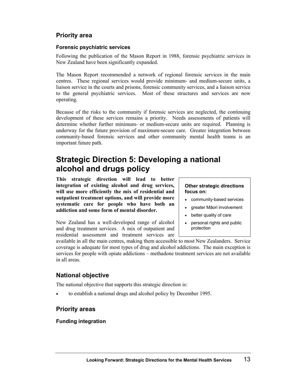### **Priority area**

#### **Forensic psychiatric services**

Following the publication of the Mason Report in 1988, forensic psychiatric services in New Zealand have been significantly expanded.

The Mason Report recommended a network of regional forensic services in the main centres. These regional services would provide minimum- and medium-secure units, a liaison service in the courts and prisons, forensic community services, and a liaison service to the general psychiatric services. Most of these structures and services are now operating.

Because of the risks to the community if forensic services are neglected, the continuing development of these services remains a priority. Needs assessments of patients will determine whether further minimum- or medium-secure units are required. Planning is underway for the future provision of maximum-secure care. Greater integration between community-based forensic services and other community mental health teams is an important future path.

### **Strategic Direction 5: Developing a national alcohol and drugs policy**

**This strategic direction will lead to better integration of existing alcohol and drug services, will use more efficiently the mix of residential and outpatient treatment options, and will provide more systematic care for people who have both an addiction and some form of mental disorder.** 

New Zealand has a well-developed range of alcohol and drug treatment services. A mix of outpatient and residential assessment and treatment services are

#### **Other strategic directions focus on:**

- community-based services
- greater Mäori involvement
- better quality of care
- personal rights and public protection

available in all the main centres, making them accessible to most New Zealanders. Service coverage is adequate for most types of drug and alcohol addictions. The main exception is services for people with opiate addictions – methadone treatment services are not available in all areas.

### **National objective**

The national objective that supports this strategic direction is:

• to establish a national drugs and alcohol policy by December 1995.

### **Priority areas**

**Funding integration**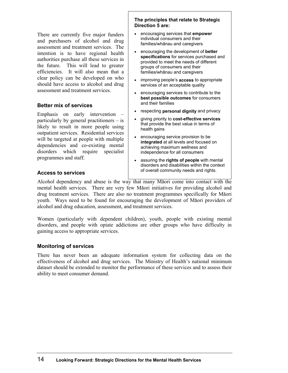There are currently five major funders and purchasers of alcohol and drug assessment and treatment services. The intention is to have regional health authorities purchase all these services in the future. This will lead to greater efficiencies. It will also mean that a clear policy can be developed on who should have access to alcohol and drug assessment and treatment services.

#### **Better mix of services**

Emphasis on early intervention – particularly by general practitioners – is likely to result in more people using outpatient services. Residential services will be targeted at people with multiple dependencies and co-existing mental disorders which require specialist programmes and staff.

#### **Access to services**

#### **The principles that relate to Strategic Direction 5 are:**

- encouraging services that **empower** individual consumers and their families/whänau and caregivers
- encouraging the development of **better specifications** for services purchased and provided to meet the needs of different groups of consumers and their families/whänau and caregivers
- improving people's **access** to appropriate services of an acceptable quality
- encouraging services to contribute to the **best possible outcomes** for consumers and their families
- respecting **personal dignity** and privacy
- giving priority to **cost-effective services** that provide the best value in terms of health gains
- encouraging service provision to be **integrated** at all levels and focused on achieving maximum wellness and independence for all consumers
- assuring the **rights of people** with mental disorders and disabilities within the context of overall community needs and rights.

Alcohol dependency and abuse is the way that many Mäori come into contact with the mental health services. There are very few Mäori initiatives for providing alcohol and drug treatment services. There are also no treatment programmes specifically for Mäori youth. Ways need to be found for encouraging the development of Mäori providers of alcohol and drug education, assessment, and treatment services.

Women (particularly with dependent children), youth, people with existing mental disorders, and people with opiate addictions are other groups who have difficulty in gaining access to appropriate services.

### **Monitoring of services**

There has never been an adequate information system for collecting data on the effectiveness of alcohol and drug services. The Ministry of Health's national minimum dataset should be extended to monitor the performance of these services and to assess their ability to meet consumer demand.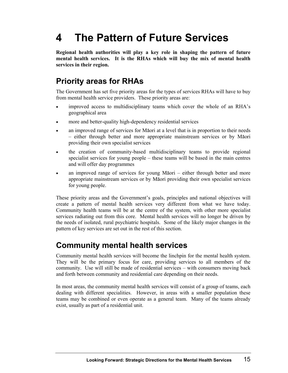## **4 The Pattern of Future Services**

**Regional health authorities will play a key role in shaping the pattern of future mental health services. It is the RHAs which will buy the mix of mental health services in their region.** 

### **Priority areas for RHAs**

The Government has set five priority areas for the types of services RHAs will have to buy from mental health service providers. These priority areas are:

- improved access to multidisciplinary teams which cover the whole of an RHA's geographical area
- more and better-quality high-dependency residential services
- an improved range of services for Mäori at a level that is in proportion to their needs – either through better and more appropriate mainstream services or by Mäori providing their own specialist services
- the creation of community-based multidisciplinary teams to provide regional specialist services for young people – these teams will be based in the main centres and will offer day programmes
- an improved range of services for young Maori either through better and more appropriate mainstream services or by Mäori providing their own specialist services for young people.

These priority areas and the Government's goals, principles and national objectives will create a pattern of mental health services very different from what we have today. Community health teams will be at the centre of the system, with other more specialist services radiating out from this core. Mental health services will no longer be driven by the needs of isolated, rural psychiatric hospitals. Some of the likely major changes in the pattern of key services are set out in the rest of this section.

### **Community mental health services**

Community mental health services will become the linchpin for the mental health system. They will be the primary focus for care, providing services to all members of the community. Use will still be made of residential services – with consumers moving back and forth between community and residential care depending on their needs.

In most areas, the community mental health services will consist of a group of teams, each dealing with different specialities. However, in areas with a smaller population these teams may be combined or even operate as a general team. Many of the teams already exist, usually as part of a residential unit.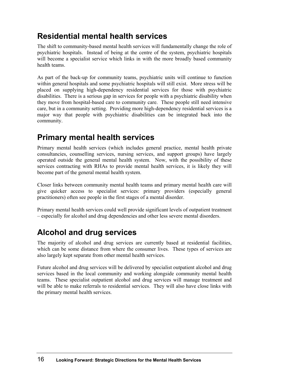### **Residential mental health services**

The shift to community-based mental health services will fundamentally change the role of psychiatric hospitals. Instead of being at the centre of the system, psychiatric hospitals will become a specialist service which links in with the more broadly based community health teams.

As part of the back-up for community teams, psychiatric units will continue to function within general hospitals and some psychiatric hospitals will still exist. More stress will be placed on supplying high-dependency residential services for those with psychiatric disabilities. There is a serious gap in services for people with a psychiatric disability when they move from hospital-based care to community care. These people still need intensive care, but in a community setting. Providing more high-dependency residential services is a major way that people with psychiatric disabilities can be integrated back into the community.

### **Primary mental health services**

Primary mental health services (which includes general practice, mental health private consultancies, counselling services, nursing services, and support groups) have largely operated outside the general mental health system. Now, with the possibility of these services contracting with RHAs to provide mental health services, it is likely they will become part of the general mental health system.

Closer links between community mental health teams and primary mental health care will give quicker access to specialist services: primary providers (especially general practitioners) often see people in the first stages of a mental disorder.

Primary mental health services could well provide significant levels of outpatient treatment – especially for alcohol and drug dependencies and other less severe mental disorders.

### **Alcohol and drug services**

The majority of alcohol and drug services are currently based at residential facilities, which can be some distance from where the consumer lives. These types of services are also largely kept separate from other mental health services.

Future alcohol and drug services will be delivered by specialist outpatient alcohol and drug services based in the local community and working alongside community mental health teams. These specialist outpatient alcohol and drug services will manage treatment and will be able to make referrals to residential services. They will also have close links with the primary mental health services.